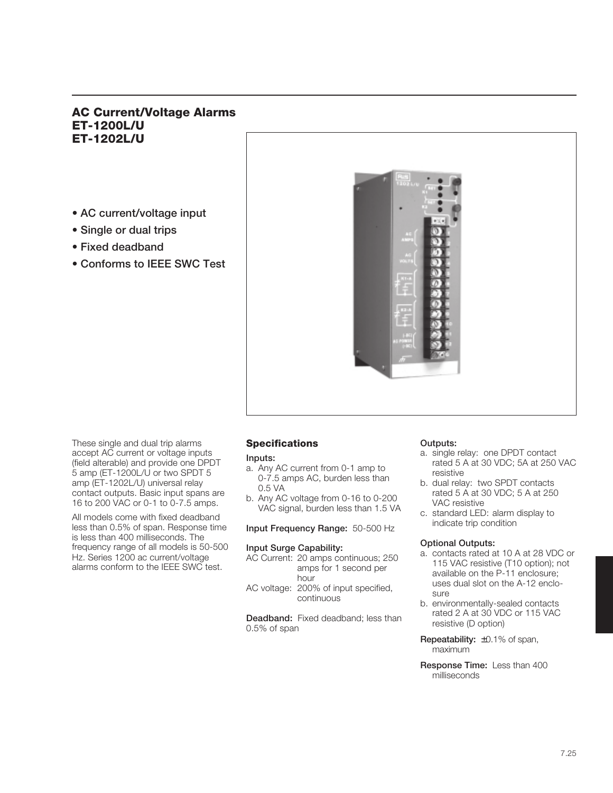# **AC Current/Voltage Alarms ET-1200L/U ET-1202L/U**

- **AC current/voltage input**
- **Single or dual trips**
- **Fixed deadband**
- **Conforms to IEEE SWC Test**



These single and dual trip alarms accept AC current or voltage inputs (field alterable) and provide one DPDT 5 amp (ET-1200L/U or two SPDT 5 amp (ET-1202L/U) universal relay contact outputs. Basic input spans are 16 to 200 VAC or 0-1 to 0-7.5 amps.

All models come with fixed deadband less than 0.5% of span. Response time is less than 400 milliseconds. The frequency range of all models is 50-500 Hz. Series 1200 ac current/voltage alarms conform to the IEEE SWC test.

# **Specifications**

**Inputs:**

- a. Any AC current from 0-1 amp to 0-7.5 amps AC, burden less than 0.5 VA
- b. Any AC voltage from 0-16 to 0-200 VAC signal, burden less than 1.5 VA

**Input Frequency Range:** 50-500 Hz

#### **Input Surge Capability:**

- AC Current: 20 amps continuous; 250 amps for 1 second per hour
- AC voltage: 200% of input specified, continuous

**Deadband:** Fixed deadband; less than 0.5% of span

# **Outputs:**

- a. single relay: one DPDT contact rated 5 A at 30 VDC; 5A at 250 VAC resistive
- b. dual relay: two SPDT contacts rated 5 A at 30 VDC; 5 A at 250 VAC resistive
- c. standard LED: alarm display to indicate trip condition

# **Optional Outputs:**

- a. contacts rated at 10 A at 28 VDC or 115 VAC resistive (T10 option); not available on the P-11 enclosure; uses dual slot on the A-12 enclosure
- b. environmentally-sealed contacts rated 2 A at 30 VDC or 115 VAC resistive (D option)
- **Repeatability:** ±0.1% of span, maximum
- **Response Time:** Less than 400 milliseconds